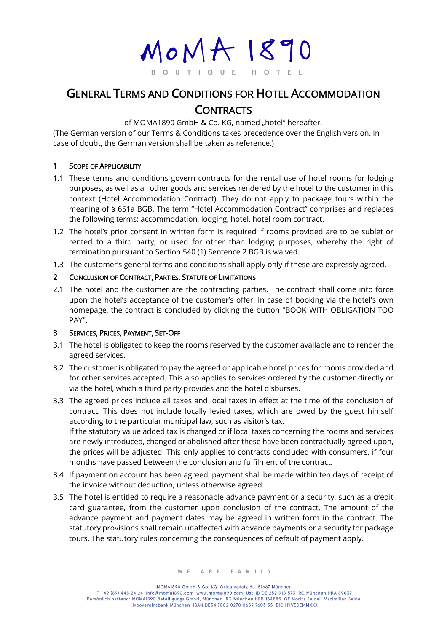$M o M A 1890$ O U T I Q U E HOTEL

# GENERAL TERMS AND CONDITIONS FOR HOTEL ACCOMMODATION **CONTRACTS**

of MOMA1890 GmbH & Co. KG, named "hotel" hereafter.

(The German version of our Terms & Conditions takes precedence over the English version. In case of doubt, the German version shall be taken as reference.)

### 1 SCOPE OF APPLICABILITY

- 1.1 These terms and conditions govern contracts for the rental use of hotel rooms for lodging purposes, as well as all other goods and services rendered by the hotel to the customer in this context (Hotel Accommodation Contract). They do not apply to package tours within the meaning of § 651a BGB. The term "Hotel Accommodation Contract" comprises and replaces the following terms: accommodation, lodging, hotel, hotel room contract.
- 1.2 The hotel's prior consent in written form is required if rooms provided are to be sublet or rented to a third party, or used for other than lodging purposes, whereby the right of termination pursuant to Section 540 (1) Sentence 2 BGB is waived.
- 1.3 The customer's general terms and conditions shall apply only if these are expressly agreed.

## 2 CONCLUSION OF CONTRACT, PARTIES, STATUTE OF LIMITATIONS

2.1 The hotel and the customer are the contracting parties. The contract shall come into force upon the hotel's acceptance of the customer's offer. In case of booking via the hotel's own homepage, the contract is concluded by clicking the button "BOOK WITH OBLIGATION TOO PAY".

### 3 SERVICES, PRICES, PAYMENT, SET-OFF

- 3.1 The hotel is obligated to keep the rooms reserved by the customer available and to render the agreed services.
- 3.2 The customer is obligated to pay the agreed or applicable hotel prices for rooms provided and for other services accepted. This also applies to services ordered by the customer directly or via the hotel, which a third party provides and the hotel disburses.
- 3.3 The agreed prices include all taxes and local taxes in effect at the time of the conclusion of contract. This does not include locally levied taxes, which are owed by the guest himself according to the particular municipal law, such as visitor's tax. If the statutory value added tax is changed or if local taxes concerning the rooms and services are newly introduced, changed or abolished after these have been contractually agreed upon, the prices will be adjusted. This only applies to contracts concluded with consumers, if four months have passed between the conclusion and fulfilment of the contract.
- 3.4 If payment on account has been agreed, payment shall be made within ten days of receipt of the invoice without deduction, unless otherwise agreed.
- 3.5 The hotel is entitled to require a reasonable advance payment or a security, such as a credit card guarantee, from the customer upon conclusion of the contract. The amount of the advance payment and payment dates may be agreed in written form in the contract. The statutory provisions shall remain unaffected with advance payments or a security for package tours. The statutory rules concerning the consequences of default of payment apply.

MOMA1890 GmbH & Co. KG Orleansplatz 6a 81667 München T +49 (89) 448 24 24 info@moma1890.com www.moma1890.com Ust-ID DE 252 918 573 RG München HRA 89037 Persönlich haftend: MOMA1890 Beteiligungs GmbH, München RG München HRB 164885 GF Moritz Seidel, Maximilian Seidel Hypovereinsbank München IBAN DE34 7002 0270 0659 7603 55 BIC HYVEDEMMXXX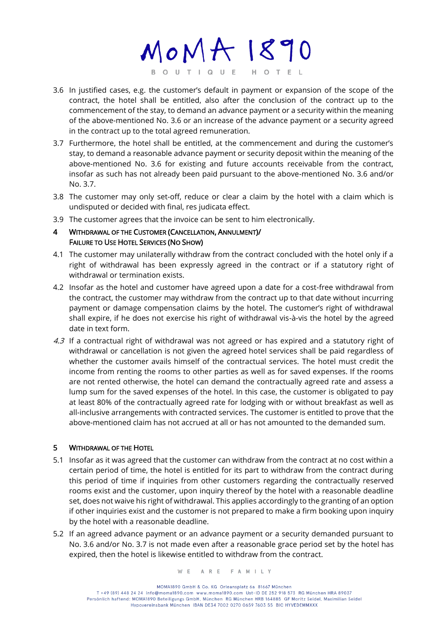$MOMA1890$ BOUTIQUE HOTEL

- 3.6 In justified cases, e.g. the customer's default in payment or expansion of the scope of the contract, the hotel shall be entitled, also after the conclusion of the contract up to the commencement of the stay, to demand an advance payment or a security within the meaning of the above-mentioned No. 3.6 or an increase of the advance payment or a security agreed in the contract up to the total agreed remuneration.
- 3.7 Furthermore, the hotel shall be entitled, at the commencement and during the customer's stay, to demand a reasonable advance payment or security deposit within the meaning of the above-mentioned No. 3.6 for existing and future accounts receivable from the contract, insofar as such has not already been paid pursuant to the above-mentioned No. 3.6 and/or No. 3.7.
- 3.8 The customer may only set-off, reduce or clear a claim by the hotel with a claim which is undisputed or decided with final, res judicata effect.
- 3.9 The customer agrees that the invoice can be sent to him electronically.

### 4 WITHDRAWAL OF THE CUSTOMER (CANCELLATION, ANNULMENT)/ FAILURE TO USE HOTEL SERVICES (NO SHOW)

- 4.1 The customer may unilaterally withdraw from the contract concluded with the hotel only if a right of withdrawal has been expressly agreed in the contract or if a statutory right of withdrawal or termination exists.
- 4.2 Insofar as the hotel and customer have agreed upon a date for a cost-free withdrawal from the contract, the customer may withdraw from the contract up to that date without incurring payment or damage compensation claims by the hotel. The customer's right of withdrawal shall expire, if he does not exercise his right of withdrawal vis-à-vis the hotel by the agreed date in text form.
- 4.3 If a contractual right of withdrawal was not agreed or has expired and a statutory right of withdrawal or cancellation is not given the agreed hotel services shall be paid regardless of whether the customer avails himself of the contractual services. The hotel must credit the income from renting the rooms to other parties as well as for saved expenses. If the rooms are not rented otherwise, the hotel can demand the contractually agreed rate and assess a lump sum for the saved expenses of the hotel. In this case, the customer is obligated to pay at least 80% of the contractually agreed rate for lodging with or without breakfast as well as all-inclusive arrangements with contracted services. The customer is entitled to prove that the above-mentioned claim has not accrued at all or has not amounted to the demanded sum.

## 5 WITHDRAWAL OF THE HOTEL

- 5.1 Insofar as it was agreed that the customer can withdraw from the contract at no cost within a certain period of time, the hotel is entitled for its part to withdraw from the contract during this period of time if inquiries from other customers regarding the contractually reserved rooms exist and the customer, upon inquiry thereof by the hotel with a reasonable deadline set, does not waive his right of withdrawal. This applies accordingly to the granting of an option if other inquiries exist and the customer is not prepared to make a firm booking upon inquiry by the hotel with a reasonable deadline.
- 5.2 If an agreed advance payment or an advance payment or a security demanded pursuant to No. 3.6 and/or No. 3.7 is not made even after a reasonable grace period set by the hotel has expired, then the hotel is likewise entitled to withdraw from the contract.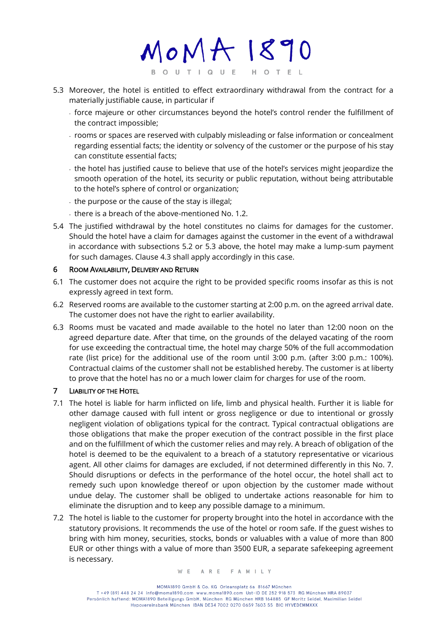$M o M A 1890$ BOUTIQUE HOTEL

- 5.3 Moreover, the hotel is entitled to effect extraordinary withdrawal from the contract for a materially justifiable cause, in particular if
	- force majeure or other circumstances beyond the hotel's control render the fulfillment of the contract impossible;
	- rooms or spaces are reserved with culpably misleading or false information or concealment regarding essential facts; the identity or solvency of the customer or the purpose of his stay can constitute essential facts;
	- the hotel has justified cause to believe that use of the hotel's services might jeopardize the smooth operation of the hotel, its security or public reputation, without being attributable to the hotel's sphere of control or organization;
	- the purpose or the cause of the stay is illegal;
	- there is a breach of the above-mentioned No. 1.2.
- 5.4 The justified withdrawal by the hotel constitutes no claims for damages for the customer. Should the hotel have a claim for damages against the customer in the event of a withdrawal in accordance with subsections 5.2 or 5.3 above, the hotel may make a lump-sum payment for such damages. Clause 4.3 shall apply accordingly in this case.

### 6 ROOM AVAILABILITY, DELIVERY AND RETURN

- 6.1 The customer does not acquire the right to be provided specific rooms insofar as this is not expressly agreed in text form.
- 6.2 Reserved rooms are available to the customer starting at 2:00 p.m. on the agreed arrival date. The customer does not have the right to earlier availability.
- 6.3 Rooms must be vacated and made available to the hotel no later than 12:00 noon on the agreed departure date. After that time, on the grounds of the delayed vacating of the room for use exceeding the contractual time, the hotel may charge 50% of the full accommodation rate (list price) for the additional use of the room until 3:00 p.m. (after 3:00 p.m.: 100%). Contractual claims of the customer shall not be established hereby. The customer is at liberty to prove that the hotel has no or a much lower claim for charges for use of the room.

## 7 LIABILITY OF THE HOTEL

- 7.1 The hotel is liable for harm inflicted on life, limb and physical health. Further it is liable for other damage caused with full intent or gross negligence or due to intentional or grossly negligent violation of obligations typical for the contract. Typical contractual obligations are those obligations that make the proper execution of the contract possible in the first place and on the fulfillment of which the customer relies and may rely. A breach of obligation of the hotel is deemed to be the equivalent to a breach of a statutory representative or vicarious agent. All other claims for damages are excluded, if not determined differently in this No. 7. Should disruptions or defects in the performance of the hotel occur, the hotel shall act to remedy such upon knowledge thereof or upon objection by the customer made without undue delay. The customer shall be obliged to undertake actions reasonable for him to eliminate the disruption and to keep any possible damage to a minimum.
- 7.2 The hotel is liable to the customer for property brought into the hotel in accordance with the statutory provisions. It recommends the use of the hotel or room safe. If the guest wishes to bring with him money, securities, stocks, bonds or valuables with a value of more than 800 EUR or other things with a value of more than 3500 EUR, a separate safekeeping agreement is necessary.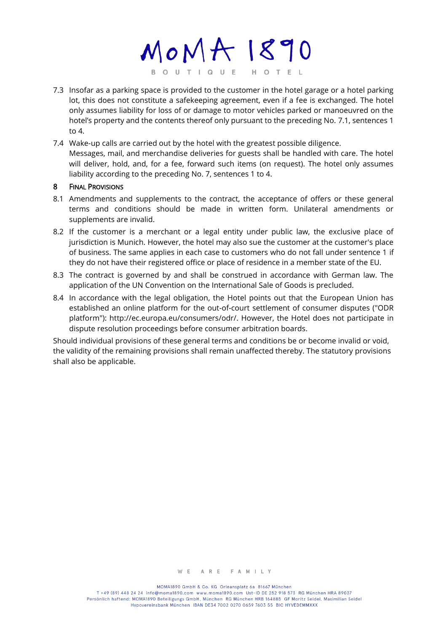MOMA 1890 BOUTIQUE HOTEL

- 7.3 Insofar as a parking space is provided to the customer in the hotel garage or a hotel parking lot, this does not constitute a safekeeping agreement, even if a fee is exchanged. The hotel only assumes liability for loss of or damage to motor vehicles parked or manoeuvred on the hotel's property and the contents thereof only pursuant to the preceding No. 7.1, sentences 1 to 4.
- 7.4 Wake-up calls are carried out by the hotel with the greatest possible diligence. Messages, mail, and merchandise deliveries for guests shall be handled with care. The hotel will deliver, hold, and, for a fee, forward such items (on request). The hotel only assumes liability according to the preceding No. 7, sentences 1 to 4.

#### 8 FINAL PROVISIONS

- 8.1 Amendments and supplements to the contract, the acceptance of offers or these general terms and conditions should be made in written form. Unilateral amendments or supplements are invalid.
- 8.2 If the customer is a merchant or a legal entity under public law, the exclusive place of jurisdiction is Munich. However, the hotel may also sue the customer at the customer's place of business. The same applies in each case to customers who do not fall under sentence 1 if they do not have their registered office or place of residence in a member state of the EU.
- 8.3 The contract is governed by and shall be construed in accordance with German law. The application of the UN Convention on the International Sale of Goods is precluded.
- 8.4 In accordance with the legal obligation, the Hotel points out that the European Union has established an online platform for the out-of-court settlement of consumer disputes ("ODR platform"): http://ec.europa.eu/consumers/odr/. However, the Hotel does not participate in dispute resolution proceedings before consumer arbitration boards.

Should individual provisions of these general terms and conditions be or become invalid or void, the validity of the remaining provisions shall remain unaffected thereby. The statutory provisions shall also be applicable.

MOMA1890 GmbH & Co. KG Orleansplatz 6a 81667 München

T +49 (89) 448 24 24 info@moma1890.com www.moma1890.com Ust-ID DE 252 918 573 RG München HRA 89037 Persönlich haftend: MOMA1890 Beteiligungs GmbH, München RG München HRB 164885 GF Moritz Seidel, Maximilian Seidel Hypovereinsbank München IBAN DE34 7002 0270 0659 7603 55 BIC HYVEDEMMXXX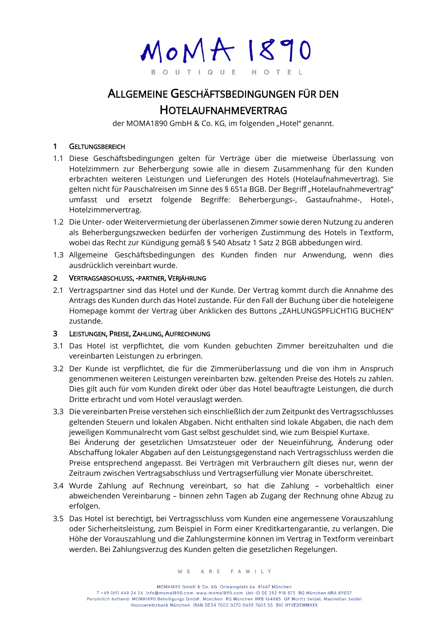MOMA 1890 O U T I Q U E H O T

## ALLGEMEINE GESCHÄFTSBEDINGUNGEN FÜR DEN HOTELAUFNAHMEVERTRAG

der MOMA1890 GmbH & Co. KG, im folgenden "Hotel" genannt.

### 1 GELTUNGSBEREICH

- 1.1 Diese Geschäftsbedingungen gelten für Verträge über die mietweise Überlassung von Hotelzimmern zur Beherbergung sowie alle in diesem Zusammenhang für den Kunden erbrachten weiteren Leistungen und Lieferungen des Hotels (Hotelaufnahmevertrag). Sie gelten nicht für Pauschalreisen im Sinne des § 651a BGB. Der Begriff "Hotelaufnahmevertrag" umfasst und ersetzt folgende Begriffe: Beherbergungs-, Gastaufnahme-, Hotel-, Hotelzimmervertrag.
- 1.2 Die Unter- oder Weitervermietung der überlassenen Zimmer sowie deren Nutzung zu anderen als Beherbergungszwecken bedürfen der vorherigen Zustimmung des Hotels in Textform, wobei das Recht zur Kündigung gemäß § 540 Absatz 1 Satz 2 BGB abbedungen wird.
- 1.3 Allgemeine Geschäftsbedingungen des Kunden finden nur Anwendung, wenn dies ausdrücklich vereinbart wurde.

### 2 VERTRAGSABSCHLUSS, -PARTNER, VERJÄHRUNG

2.1 Vertragspartner sind das Hotel und der Kunde. Der Vertrag kommt durch die Annahme des Antrags des Kunden durch das Hotel zustande. Für den Fall der Buchung über die hoteleigene Homepage kommt der Vertrag über Anklicken des Buttons "ZAHLUNGSPFLICHTIG BUCHEN" zustande.

### 3 LEISTUNGEN, PREISE, ZAHLUNG, AUFRECHNUNG

- 3.1 Das Hotel ist verpflichtet, die vom Kunden gebuchten Zimmer bereitzuhalten und die vereinbarten Leistungen zu erbringen.
- 3.2 Der Kunde ist verpflichtet, die für die Zimmerüberlassung und die von ihm in Anspruch genommenen weiteren Leistungen vereinbarten bzw. geltenden Preise des Hotels zu zahlen. Dies gilt auch für vom Kunden direkt oder über das Hotel beauftragte Leistungen, die durch Dritte erbracht und vom Hotel verauslagt werden.
- 3.3 Die vereinbarten Preise verstehen sich einschließlich der zum Zeitpunkt des Vertragsschlusses geltenden Steuern und lokalen Abgaben. Nicht enthalten sind lokale Abgaben, die nach dem jeweiligen Kommunalrecht vom Gast selbst geschuldet sind, wie zum Beispiel Kurtaxe. Bei Änderung der gesetzlichen Umsatzsteuer oder der Neueinführung, Änderung oder Abschaffung lokaler Abgaben auf den Leistungsgegenstand nach Vertragsschluss werden die Preise entsprechend angepasst. Bei Verträgen mit Verbrauchern gilt dieses nur, wenn der Zeitraum zwischen Vertragsabschluss und Vertragserfüllung vier Monate überschreitet.
- 3.4 Wurde Zahlung auf Rechnung vereinbart, so hat die Zahlung vorbehaltlich einer abweichenden Vereinbarung – binnen zehn Tagen ab Zugang der Rechnung ohne Abzug zu erfolgen.
- 3.5 Das Hotel ist berechtigt, bei Vertragsschluss vom Kunden eine angemessene Vorauszahlung oder Sicherheitsleistung, zum Beispiel in Form einer Kreditkartengarantie, zu verlangen. Die Höhe der Vorauszahlung und die Zahlungstermine können im Vertrag in Textform vereinbart werden. Bei Zahlungsverzug des Kunden gelten die gesetzlichen Regelungen.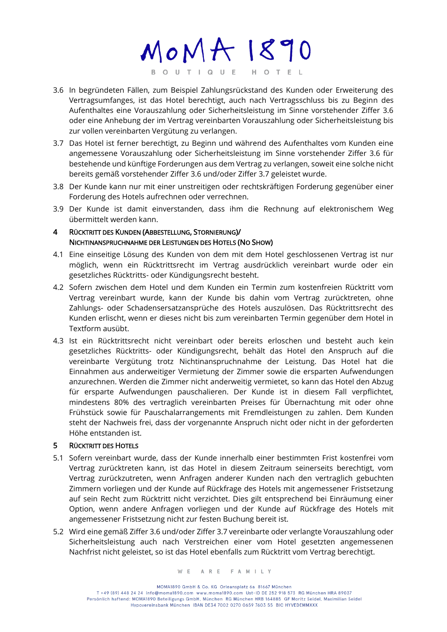MOMA 1890 BOUTIQUE HOTEL

- 3.6 In begründeten Fällen, zum Beispiel Zahlungsrückstand des Kunden oder Erweiterung des Vertragsumfanges, ist das Hotel berechtigt, auch nach Vertragsschluss bis zu Beginn des Aufenthaltes eine Vorauszahlung oder Sicherheitsleistung im Sinne vorstehender Ziffer 3.6 oder eine Anhebung der im Vertrag vereinbarten Vorauszahlung oder Sicherheitsleistung bis zur vollen vereinbarten Vergütung zu verlangen.
- 3.7 Das Hotel ist ferner berechtigt, zu Beginn und während des Aufenthaltes vom Kunden eine angemessene Vorauszahlung oder Sicherheitsleistung im Sinne vorstehender Ziffer 3.6 für bestehende und künftige Forderungen aus dem Vertrag zu verlangen, soweit eine solche nicht bereits gemäß vorstehender Ziffer 3.6 und/oder Ziffer 3.7 geleistet wurde.
- 3.8 Der Kunde kann nur mit einer unstreitigen oder rechtskräftigen Forderung gegenüber einer Forderung des Hotels aufrechnen oder verrechnen.
- 3.9 Der Kunde ist damit einverstanden, dass ihm die Rechnung auf elektronischem Weg übermittelt werden kann.

### 4 RÜCKTRITT DES KUNDEN (ABBESTELLUNG, STORNIERUNG)/ NICHTINANSPRUCHNAHME DER LEISTUNGEN DES HOTELS (NO SHOW)

- 4.1 Eine einseitige Lösung des Kunden von dem mit dem Hotel geschlossenen Vertrag ist nur möglich, wenn ein Rücktrittsrecht im Vertrag ausdrücklich vereinbart wurde oder ein gesetzliches Rücktritts- oder Kündigungsrecht besteht.
- 4.2 Sofern zwischen dem Hotel und dem Kunden ein Termin zum kostenfreien Rücktritt vom Vertrag vereinbart wurde, kann der Kunde bis dahin vom Vertrag zurücktreten, ohne Zahlungs- oder Schadensersatzansprüche des Hotels auszulösen. Das Rücktrittsrecht des Kunden erlischt, wenn er dieses nicht bis zum vereinbarten Termin gegenüber dem Hotel in Textform ausübt.
- 4.3 Ist ein Rücktrittsrecht nicht vereinbart oder bereits erloschen und besteht auch kein gesetzliches Rücktritts- oder Kündigungsrecht, behält das Hotel den Anspruch auf die vereinbarte Vergütung trotz Nichtinanspruchnahme der Leistung. Das Hotel hat die Einnahmen aus anderweitiger Vermietung der Zimmer sowie die ersparten Aufwendungen anzurechnen. Werden die Zimmer nicht anderweitig vermietet, so kann das Hotel den Abzug für ersparte Aufwendungen pauschalieren. Der Kunde ist in diesem Fall verpflichtet, mindestens 80% des vertraglich vereinbarten Preises für Übernachtung mit oder ohne Frühstück sowie für Pauschalarrangements mit Fremdleistungen zu zahlen. Dem Kunden steht der Nachweis frei, dass der vorgenannte Anspruch nicht oder nicht in der geforderten Höhe entstanden ist.

## 5 RÜCKTRITT DES HOTELS

- 5.1 Sofern vereinbart wurde, dass der Kunde innerhalb einer bestimmten Frist kostenfrei vom Vertrag zurücktreten kann, ist das Hotel in diesem Zeitraum seinerseits berechtigt, vom Vertrag zurückzutreten, wenn Anfragen anderer Kunden nach den vertraglich gebuchten Zimmern vorliegen und der Kunde auf Rückfrage des Hotels mit angemessener Fristsetzung auf sein Recht zum Rücktritt nicht verzichtet. Dies gilt entsprechend bei Einräumung einer Option, wenn andere Anfragen vorliegen und der Kunde auf Rückfrage des Hotels mit angemessener Fristsetzung nicht zur festen Buchung bereit ist.
- 5.2 Wird eine gemäß Ziffer 3.6 und/oder Ziffer 3.7 vereinbarte oder verlangte Vorauszahlung oder Sicherheitsleistung auch nach Verstreichen einer vom Hotel gesetzten angemessenen Nachfrist nicht geleistet, so ist das Hotel ebenfalls zum Rücktritt vom Vertrag berechtigt.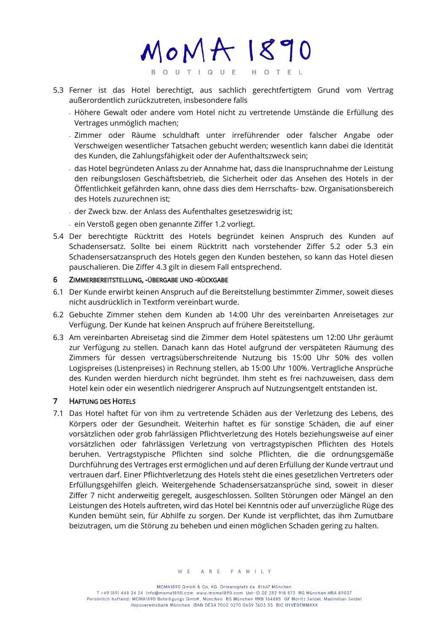MOMA 1890 BOUTIQUE HOTEL

- 5.3 Ferner ist das Hotel berechtigt, aus sachlich gerechtfertigtem Grund vom Vertrag außerordentlich zurückzutreten, insbesondere falls
	- Höhere Gewalt oder andere vom Hotel nicht zu vertretende Umstände die Erfüllung des Vertrages unmöglich machen;
	- Zimmer oder Räume schuldhaft unter irreführender oder falscher Angabe oder Verschweigen wesentlicher Tatsachen gebucht werden; wesentlich kann dabei die Identität des Kunden, die Zahlungsfähigkeit oder der Aufenthaltszweck sein;
	- das Hotel begründeten Anlass zu der Annahme hat, dass die Inanspruchnahme der Leistung den reibungslosen Geschäftsbetrieb, die Sicherheit oder das Ansehen des Hotels in der Öffentlichkeit gefährden kann, ohne dass dies dem Herrschafts- bzw. Organisationsbereich des Hotels zuzurechnen ist;
	- der Zweck bzw. der Anlass des Aufenthaltes gesetzeswidrig ist;
	- ein Verstoß gegen oben genannte Ziffer 1.2 vorliegt.
- 5.4 Der berechtigte Rücktritt des Hotels begründet keinen Anspruch des Kunden auf Schadensersatz. Sollte bei einem Rücktritt nach vorstehender Ziffer 5.2 oder 5.3 ein Schadensersatzanspruch des Hotels gegen den Kunden bestehen, so kann das Hotel diesen pauschalieren. Die Ziffer 4.3 gilt in diesem Fall entsprechend.

#### 6 ZIMMERBEREITSTELLUNG, -ÜBERGABE UND -RÜCKGABE

- 6.1 Der Kunde erwirbt keinen Anspruch auf die Bereitstellung bestimmter Zimmer, soweit dieses nicht ausdrücklich in Textform vereinbart wurde.
- 6.2 Gebuchte Zimmer stehen dem Kunden ab 14:00 Uhr des vereinbarten Anreisetages zur Verfügung. Der Kunde hat keinen Anspruch auf frühere Bereitstellung.
- 6.3 Am vereinbarten Abreisetag sind die Zimmer dem Hotel spätestens um 12:00 Uhr geräumt zur Verfügung zu stellen. Danach kann das Hotel aufgrund der verspäteten Räumung des Zimmers für dessen vertragsüberschreitende Nutzung bis 15:00 Uhr 50% des vollen Logispreises (Listenpreises) in Rechnung stellen, ab 15:00 Uhr 100%. Vertragliche Ansprüche des Kunden werden hierdurch nicht begründet. Ihm steht es frei nachzuweisen, dass dem Hotel kein oder ein wesentlich niedrigerer Anspruch auf Nutzungsentgelt entstanden ist.

### 7 HAFTUNG DES HOTELS

7.1 Das Hotel haftet für von ihm zu vertretende Schäden aus der Verletzung des Lebens, des Körpers oder der Gesundheit. Weiterhin haftet es für sonstige Schäden, die auf einer vorsätzlichen oder grob fahrlässigen Pflichtverletzung des Hotels beziehungsweise auf einer vorsätzlichen oder fahrlässigen Verletzung von vertragstypischen Pflichten des Hotels beruhen. Vertragstypische Pflichten sind solche Pflichten, die die ordnungsgemäße Durchführung des Vertrages erst ermöglichen und auf deren Erfüllung der Kunde vertraut und vertrauen darf. Einer Pflichtverletzung des Hotels steht die eines gesetzlichen Vertreters oder Erfüllungsgehilfen gleich. Weitergehende Schadensersatzansprüche sind, soweit in dieser Ziffer 7 nicht anderweitig geregelt, ausgeschlossen. Sollten Störungen oder Mängel an den Leistungen des Hotels auftreten, wird das Hotel bei Kenntnis oder auf unverzügliche Rüge des Kunden bemüht sein, für Abhilfe zu sorgen. Der Kunde ist verpflichtet, das ihm Zumutbare beizutragen, um die Störung zu beheben und einen möglichen Schaden gering zu halten.

MOMA1890 GmbH & Co. KG Orleansplatz 6a 81667 München T +49 (89) 448 24 24 info@moma1890.com www.moma1890.com Ust-ID DE 252 918 573 RG München HRA 89037 Persönlich haftend: MOMA1890 Beteiligungs GmbH, München RG München HRB 164885 GF Moritz Seidel, Maximilian Seidel Hypovereinsbank München IBAN DE34 7002 0270 0659 7603 55 BIC HYVEDEMMXXX